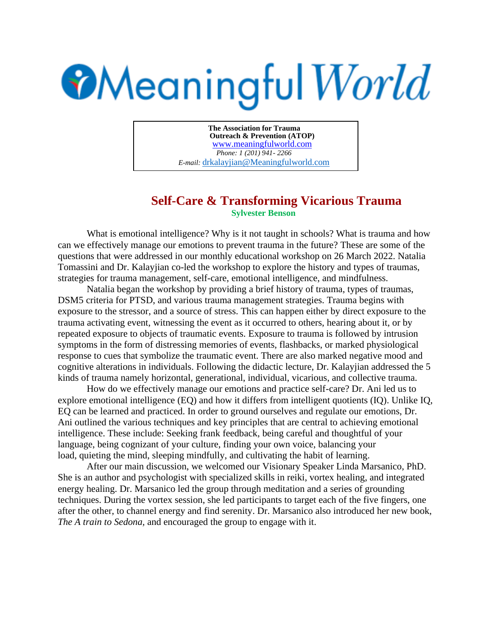## **Meaningful World**

**The Association for Trauma Outreach & Prevention (ATOP)**  www.meaningfulworld.com *Phone: 1 (201) 941- 2266 E-mail:* drkalayjian@Meaningfulworld.com

## **Self-Care & Transforming Vicarious Trauma Sylvester Benson**

What is emotional intelligence? Why is it not taught in schools? What is trauma and how can we effectively manage our emotions to prevent trauma in the future? These are some of the questions that were addressed in our monthly educational workshop on 26 March 2022. Natalia Tomassini and Dr. Kalayjian co-led the workshop to explore the history and types of traumas, strategies for trauma management, self-care, emotional intelligence, and mindfulness.

Natalia began the workshop by providing a brief history of trauma, types of traumas, DSM5 criteria for PTSD, and various trauma management strategies. Trauma begins with exposure to the stressor, and a source of stress. This can happen either by direct exposure to the trauma activating event, witnessing the event as it occurred to others, hearing about it, or by repeated exposure to objects of traumatic events. Exposure to trauma is followed by intrusion symptoms in the form of distressing memories of events, flashbacks, or marked physiological response to cues that symbolize the traumatic event. There are also marked negative mood and cognitive alterations in individuals. Following the didactic lecture, Dr. Kalayjian addressed the 5 kinds of trauma namely horizontal, generational, individual, vicarious, and collective trauma.

How do we effectively manage our emotions and practice self-care? Dr. Ani led us to explore emotional intelligence (EQ) and how it differs from intelligent quotients (IQ). Unlike IQ, EQ can be learned and practiced. In order to ground ourselves and regulate our emotions, Dr. Ani outlined the various techniques and key principles that are central to achieving emotional intelligence. These include: Seeking frank feedback, being careful and thoughtful of your language, being cognizant of your culture, finding your own voice, balancing your load, quieting the mind, sleeping mindfully, and cultivating the habit of learning.

After our main discussion, we welcomed our Visionary Speaker Linda Marsanico, PhD. She is an author and psychologist with specialized skills in reiki, vortex healing, and integrated energy healing. Dr. Marsanico led the group through meditation and a series of grounding techniques. During the vortex session, she led participants to target each of the five fingers, one after the other, to channel energy and find serenity. Dr. Marsanico also introduced her new book, *The A train to Sedona,* and encouraged the group to engage with it.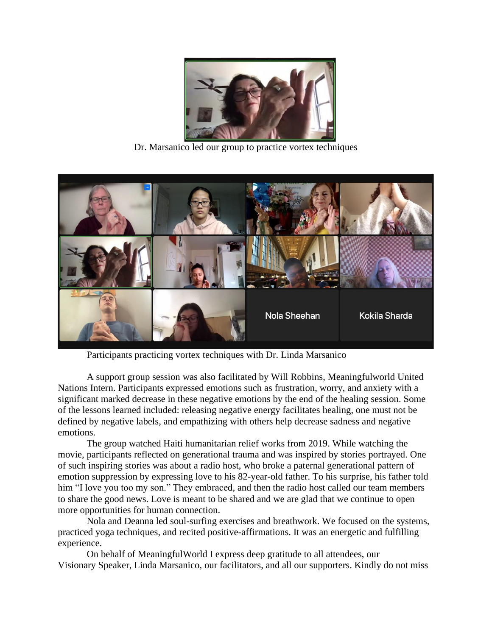

Dr. Marsanico led our group to practice vortex techniques



Participants practicing vortex techniques with Dr. Linda Marsanico

A support group session was also facilitated by Will Robbins, Meaningfulworld United Nations Intern. Participants expressed emotions such as frustration, worry, and anxiety with a significant marked decrease in these negative emotions by the end of the healing session. Some of the lessons learned included: releasing negative energy facilitates healing, one must not be defined by negative labels, and empathizing with others help decrease sadness and negative emotions.

The group watched Haiti humanitarian relief works from 2019. While watching the movie, participants reflected on generational trauma and was inspired by stories portrayed. One of such inspiring stories was about a radio host, who broke a paternal generational pattern of emotion suppression by expressing love to his 82-year-old father. To his surprise, his father told him "I love you too my son." They embraced, and then the radio host called our team members to share the good news. Love is meant to be shared and we are glad that we continue to open more opportunities for human connection.

Nola and Deanna led soul-surfing exercises and breathwork. We focused on the systems, practiced yoga techniques, and recited positive-affirmations. It was an energetic and fulfilling experience.

On behalf of MeaningfulWorld I express deep gratitude to all attendees, our Visionary Speaker, Linda Marsanico, our facilitators, and all our supporters. Kindly do not miss